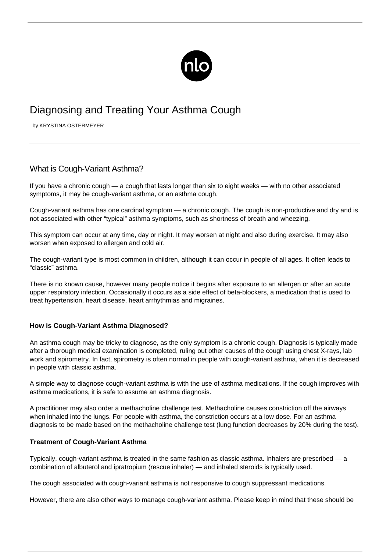

# Diagnosing and Treating Your Asthma Cough

by KRYSTINA OSTERMEYER

## What is Cough-Variant Asthma?

If you have a chronic cough — a cough that lasts longer than six to eight weeks — with no other associated symptoms, it may be cough-variant asthma, or an asthma cough.

Cough-variant asthma has one cardinal symptom — a chronic cough. The cough is non-productive and dry and is not associated with other "typical" asthma symptoms, such as shortness of breath and wheezing.

This symptom can occur at any time, day or night. It may worsen at night and also during exercise. It may also worsen when exposed to allergen and cold air.

The cough-variant type is most common in children, although it can occur in people of all ages. It often leads to "classic" asthma.

There is no known cause, however many people notice it begins after exposure to an allergen or after an acute upper respiratory infection. Occasionally it occurs as a side effect of beta-blockers, a medication that is used to treat hypertension, heart disease, heart arrhythmias and migraines.

#### **How is Cough-Variant Asthma Diagnosed?**

An asthma cough may be tricky to diagnose, as the only symptom is a chronic cough. Diagnosis is typically made after a thorough medical examination is completed, ruling out other causes of the cough using chest X-rays, lab work and spirometry. In fact, spirometry is often normal in people with cough-variant asthma, when it is decreased in people with classic asthma.

A simple way to diagnose cough-variant asthma is with the use of asthma medications. If the cough improves with asthma medications, it is safe to assume an asthma diagnosis.

A practitioner may also order a methacholine challenge test. Methacholine causes constriction off the airways when inhaled into the lungs. For people with asthma, the constriction occurs at a low dose. For an asthma diagnosis to be made based on the methacholine challenge test (lung function decreases by 20% during the test).

#### **Treatment of Cough-Variant Asthma**

Typically, cough-variant asthma is treated in the same fashion as classic asthma. Inhalers are prescribed — a combination of albuterol and ipratropium (rescue inhaler) — and inhaled steroids is typically used.

The cough associated with cough-variant asthma is not responsive to cough suppressant medications.

However, there are also other ways to manage cough-variant asthma. Please keep in mind that these should be